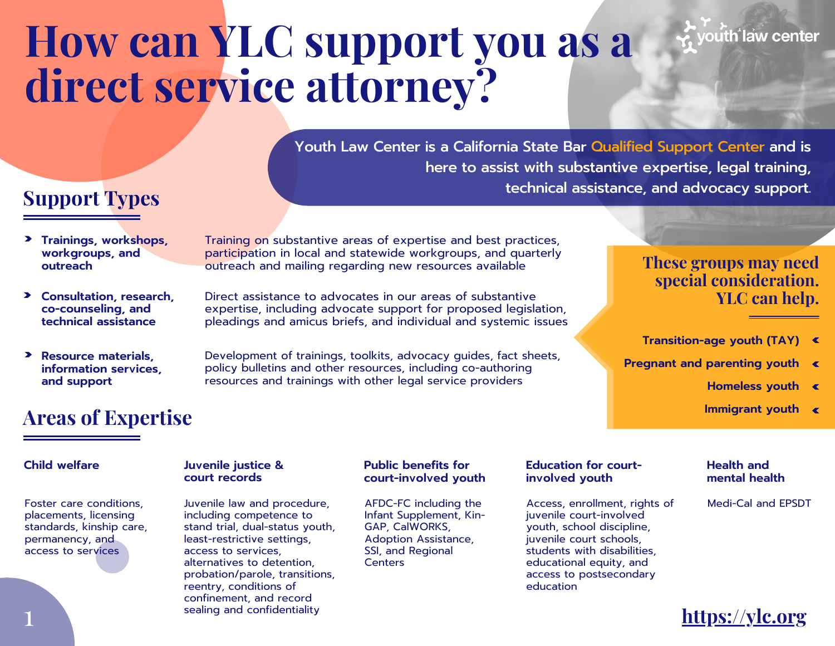# **How can YLC support you as a direct service attorney?**

Youth Law Center is a California State Bar Qualified Support Center and is here to assist with substantive expertise, legal training, technical assistance, and advocacy support.

# **Support Types**

- **Trainings, workshops, workgroups, and outreach**
- **Consultation, research, co-counseling, and technical assistance**
- **Resource materials, information services, and support**

Training on substantive areas of expertise and best practices, participation in local and statewide workgroups, and quarterly outreach and mailing regarding new resources available

Direct assistance to advocates in our areas of substantive expertise, including advocate support for proposed legislation, pleadings and amicus briefs, and individual and systemic issues

Development of trainings, toolkits, advocacy guides, fact sheets, policy bulletins and other resources, including co-authoring resources and trainings with other legal service providers

## **These groups may need special consideration. YLC can help.**

- **Transition-age youth (TAY)**
- **Pregnant and parenting youth**
	- **Homeless youth**

vouth law center

**Immigrant youth**

# **Areas of Expertise**

Foster care conditions, placements, licensing standards, kinship care, permanency, and access to services

#### **Child welfare Juvenile justice & court records**

Juvenile law and procedure, including competence to stand trial, dual-status youth, least-restrictive settings, access to services, alternatives to detention, probation/parole, transitions, reentry, conditions of confinement, and record sealing and confidentiality

### **Public benefits for court-involved youth**

AFDC-FC including the Infant Supplement, Kin-GAP, CalWORKS, Adoption Assistance, SSI, and Regional **Centers** 

### **Education for courtinvolved youth**

Access, enrollment, rights of juvenile court-involved youth, school discipline, juvenile court schools, students with disabilities, educational equity, and access to postsecondary education

### **Health and mental health**

Medi-Cal and EPSDT

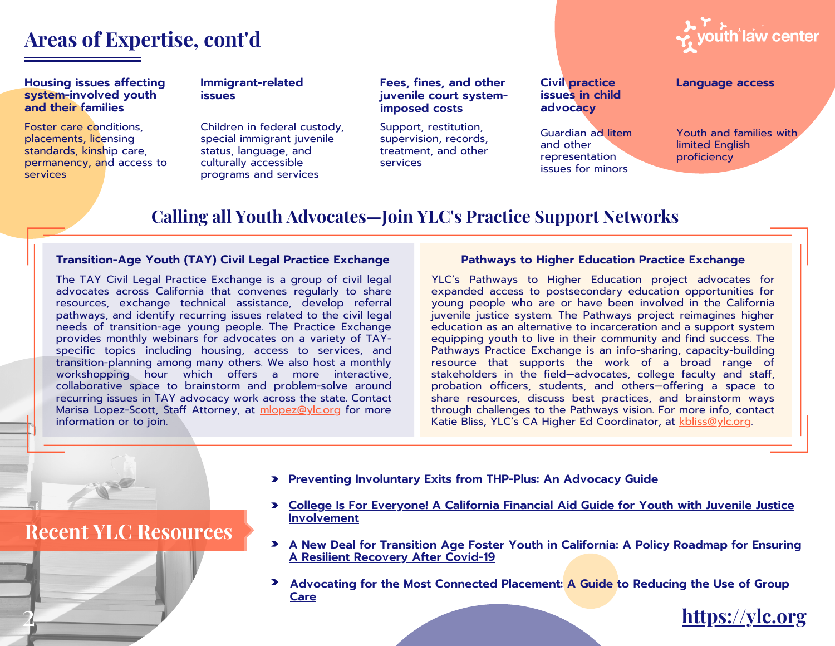## **Areas of Expertise, cont'd**

#### **Housing issues affecting system-involved youth and their families**

Foster care conditions, placements, licensing standards, kinship care, permanency, and access to services

#### **Immigrant-related issues**

Children in federal custody, special immigrant juvenile status, language, and culturally accessible programs and services

#### **Fees, fines, and other Language access juvenile court systemimposed costs**

Support, restitution, supervision, records, treatment, and other services

### **Civil practice issues in child advocacy**

Guardian ad litem and other representation issues for minors



Youth and families with limited English proficiency

## **Calling all Youth Advocates—Join YLC's Practice Support Networks**

### **Transition-Age Youth (TAY) Civil Legal Practice Exchange Pathways to Higher Education Practice Exchange**

The TAY Civil Legal Practice Exchange is a group of civil legal advocates across California that convenes regularly to share resources, exchange technical assistance, develop referral pathways, and identify recurring issues related to the civil legal needs of transition-age young people. The Practice Exchange provides monthly webinars for advocates on a variety of TAYspecific topics including housing, access to services, and transition-planning among many others. We also host a monthly workshopping hour which offers a more interactive, collaborative space to brainstorm and problem-solve around recurring issues in TAY advocacy work across the state. Contact Marisa Lopez-Scott, Staff Attorney, at [mlopez@ylc.org](mailto:mlopez@ylc.org) for more information or to join.

YLC's Pathways to Higher Education project advocates for expanded access to postsecondary education opportunities for young people who are or have been involved in the California juvenile justice system. The Pathways project reimagines higher education as an alternative to incarceration and a support system equipping youth to live in their community and find success. The Pathways Practice Exchange is an info-sharing, capacity-building resource that supports the work of a broad range of stakeholders in the field—advocates, college faculty and staff, probation officers, students, and others—offering a space to share resources, discuss best practices, and brainstorm ways through challenges to the Pathways vision. For more info, contact Katie Bliss, YLC's CA Higher Ed Coordinator, at [kbliss@ylc.org.](mailto:kbliss@ylc.org)

- **Preventing [Involuntary](https://www.ylc.org/wp-content/uploads/2020/11/Preventing-Involuntary-Exits-from-THP-Plus_Final.pdf) Exits from THP-Plus: An Advocacy Guide**
- **College Is For Everyone! A California Financial Aid Guide for Youth with Juvenile Justice [Involvement](https://www.ylc.org/wp-content/uploads/2020/11/YLC-Financial-Aid-Guide-for-Juvenile-Justice-Involved-Youth-rev.2020.03.pdf)**
- **A New Deal for Transition Age Foster Youth in [California:](https://www.ylc.org/wp-content/uploads/2020/07/YLC_A-New-Deal-for-Transition-Age-Foster-Youth.pdf) A Policy Roadmap for Ensuring A Resilient Recovery After Covid-19**
- **[Advocating](https://ylc.org/wp-content/uploads/2019/05/Connected-Placements-Toolkit.pdf) for the Most Connected Placement: A Guide to Reducing the Use of Group Care**

## **Recent YLC Resources**